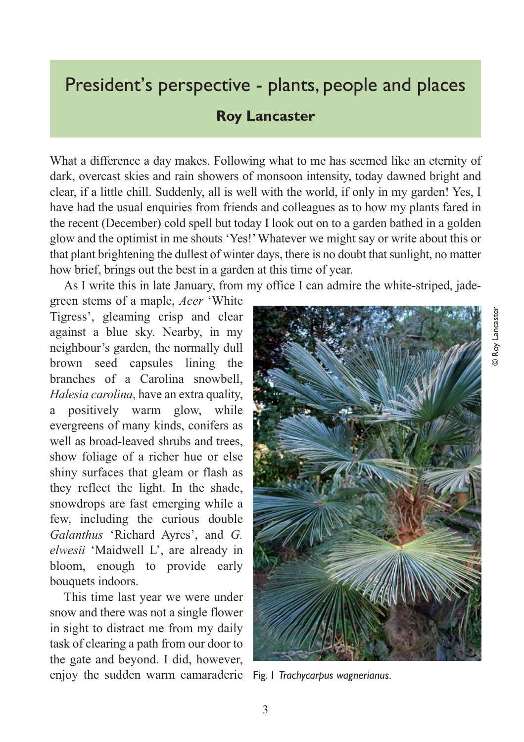## President's perspective - plants, people and places

## **Roy Lancaster**

What a difference a day makes. Following what to me has seemed like an eternity of dark, overcast skies and rain showers of monsoon intensity, today dawned bright and clear, if a little chill. Suddenly, all is well with the world, if only in my garden! Yes, I have had the usual enquiries from friends and colleagues as to how my plants fared in the recent (December) cold spell but today I look out on to a garden bathed in a golden glow and the optimist in me shouts 'Yes!' Whatever we might say or write about this or that plant brightening the dullest of winter days, there is no doubt that sunlight, no matter how brief, brings out the best in a garden at this time of year.

As I write this in late January, from my office I can admire the white-striped, jade-

green stems of a maple, *Acer* 'White Tigress', gleaming crisp and clear against a blue sky. Nearby, in my neighbour's garden, the normally dull brown seed capsules lining the branches of a Carolina snowbell, *Halesia carolina*, have an extra quality, a positively warm glow, while evergreens of many kinds, conifers as well as broad-leaved shrubs and trees, show foliage of a richer hue or else shiny surfaces that gleam or flash as they reflect the light. In the shade, snowdrops are fast emerging while a few, including the curious double *Galanthus* 'Richard Ayres', and *G. elwesii* 'Maidwell L', are already in bloom, enough to provide early bouquets indoors.

This time last year we were under snow and there was not a single flower in sight to distract me from my daily task of clearing a path from our door to the gate and beyond. I did, however, enjoy the sudden warm camaraderie Fig. 1 *Trachycarpus wagnerianus.*

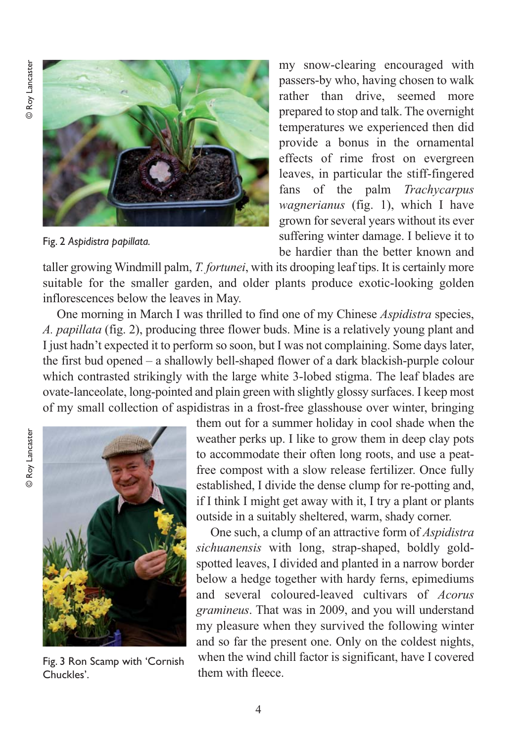

Fig. 2 *Aspidistra papillata.*

my snow-clearing encouraged with passers-by who, having chosen to walk rather than drive, seemed more prepared to stop and talk. The overnight temperatures we experienced then did provide a bonus in the ornamental effects of rime frost on evergreen leaves, in particular the stiff-fingered fans of the palm *Trachycarpus wagnerianus* (fig. 1), which I have grown for several years without its ever suffering winter damage. I believe it to be hardier than the better known and

taller growing Windmill palm, *T. fortunei*, with its drooping leaf tips. It is certainly more suitable for the smaller garden, and older plants produce exotic-looking golden inflorescences below the leaves in May.

One morning in March I was thrilled to find one of my Chinese *Aspidistra* species, *A. papillata* (fig. 2), producing three flower buds. Mine is a relatively young plant and I just hadn't expected it to perform so soon, but I was not complaining. Some days later, the first bud opened – a shallowly bell-shaped flower of a dark blackish-purple colour which contrasted strikingly with the large white 3-lobed stigma. The leaf blades are ovate-lanceolate, long-pointed and plain green with slightly glossy surfaces. I keep most of my small collection of aspidistras in a frost-free glasshouse over winter, bringing



Fig. 3 Ron Scamp with 'Cornish Chuckles'.

them out for a summer holiday in cool shade when the weather perks up. I like to grow them in deep clay pots to accommodate their often long roots, and use a peatfree compost with a slow release fertilizer. Once fully established, I divide the dense clump for re-potting and, if I think I might get away with it, I try a plant or plants outside in a suitably sheltered, warm, shady corner.

One such, a clump of an attractive form of *Aspidistra sichuanensis* with long, strap-shaped, boldly goldspotted leaves, I divided and planted in a narrow border below a hedge together with hardy ferns, epimediums and several coloured-leaved cultivars of *Acorus gramineus*. That was in 2009, and you will understand my pleasure when they survived the following winter and so far the present one. Only on the coldest nights, when the wind chill factor is significant, have I covered them with fleece.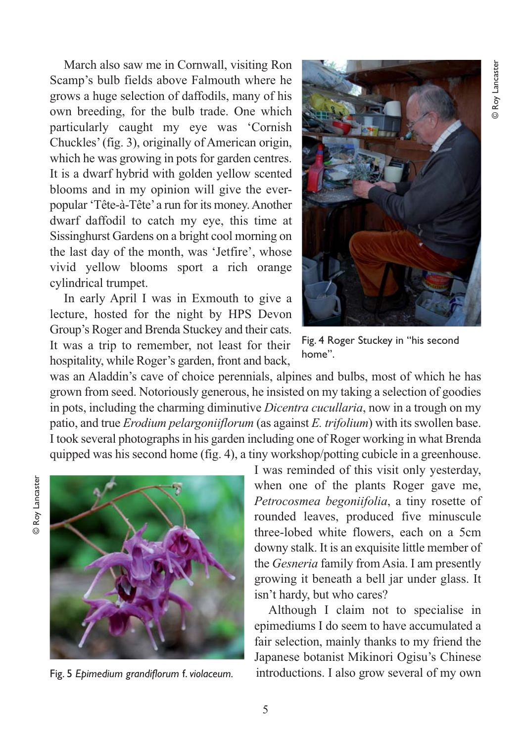March also saw me in Cornwall, visiting Ron Scamp's bulb fields above Falmouth where he grows a huge selection of daffodils, many of his own breeding, for the bulb trade. One which particularly caught my eye was 'Cornish Chuckles' (fig. 3), originally of American origin, which he was growing in pots for garden centres. It is a dwarf hybrid with golden yellow scented blooms and in my opinion will give the everpopular 'Tête-à-Tête' a run for its money. Another dwarf daffodil to catch my eye, this time at Sissinghurst Gardens on a bright cool morning on the last day of the month, was 'Jetfire', whose vivid yellow blooms sport a rich orange cylindrical trumpet.

In early April I was in Exmouth to give a lecture, hosted for the night by HPS Devon Group's Roger and Brenda Stuckey and their cats. It was a trip to remember, not least for their hospitality, while Roger's garden, front and back,



Fig. 4 Roger Stuckey in "his second home".

was an Aladdin's cave of choice perennials, alpines and bulbs, most of which he has grown from seed. Notoriously generous, he insisted on my taking a selection of goodies in pots, including the charming diminutive *Dicentra cucullaria*, now in a trough on my patio, and true *Erodium pelargoniiflorum* (as against *E. trifolium*) with its swollen base. I took several photographs in his garden including one of Roger working in what Brenda quipped was his second home (fig. 4), a tiny workshop/potting cubicle in a greenhouse.



Fig. 5 *Epimedium grandiflorum* f. *violaceum.*

I was reminded of this visit only yesterday, when one of the plants Roger gave me, *Petrocosmea begoniifolia*, a tiny rosette of rounded leaves, produced five minuscule three-lobed white flowers, each on a 5cm downy stalk. It is an exquisite little member of the *Gesneria* family from Asia. I am presently growing it beneath a bell jar under glass. It isn't hardy, but who cares?

Although I claim not to specialise in epimediums I do seem to have accumulated a fair selection, mainly thanks to my friend the Japanese botanist Mikinori Ogisu's Chinese introductions. I also grow several of my own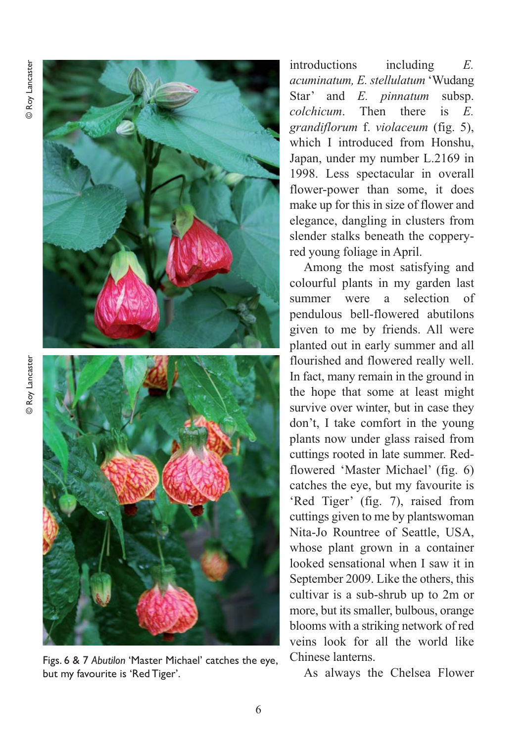

Figs. 6 & 7 *Abutilon* 'Master Michael' catches the eye, but my favourite is 'Red Tiger'.

introductions including *E. acuminatum, E. stellulatum* 'Wudang Star' and *E. pinnatum* subsp. *colchicum*. Then there is *E. grandiflorum* f. *violaceum* (fig. 5), which I introduced from Honshu, Japan, under my number L.2169 in 1998. Less spectacular in overall flower-power than some, it does make up for this in size of flower and elegance, dangling in clusters from slender stalks beneath the copperyred young foliage in April.

Among the most satisfying and colourful plants in my garden last summer were a selection of pendulous bell-flowered abutilons given to me by friends. All were planted out in early summer and all flourished and flowered really well. In fact, many remain in the ground in the hope that some at least might survive over winter, but in case they don't, I take comfort in the young plants now under glass raised from cuttings rooted in late summer. Redflowered 'Master Michael' (fig. 6) catches the eye, but my favourite is 'Red Tiger' (fig. 7), raised from cuttings given to me by plantswoman Nita-Jo Rountree of Seattle, USA, whose plant grown in a container looked sensational when I saw it in September 2009. Like the others, this cultivar is a sub-shrub up to 2m or more, but its smaller, bulbous, orange blooms with a striking network of red veins look for all the world like Chinese lanterns.

As always the Chelsea Flower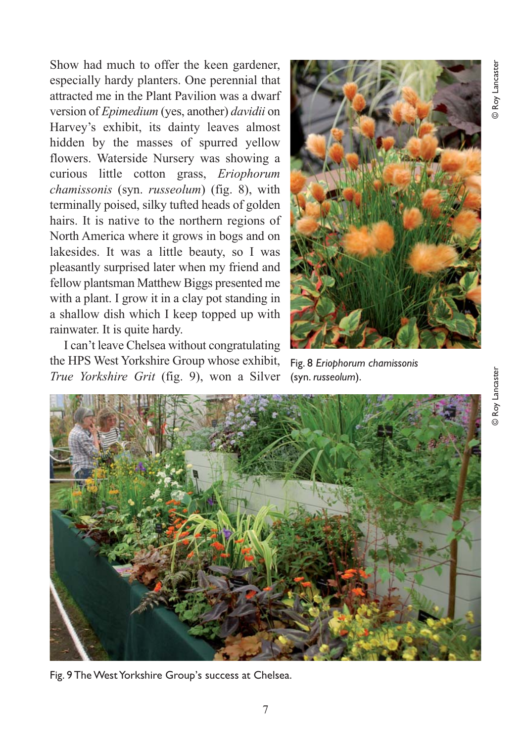Show had much to offer the keen gardener, especially hardy planters. One perennial that attracted me in the Plant Pavilion was a dwarf version of *Epimedium* (yes, another) *davidii* on Harvey's exhibit, its dainty leaves almost hidden by the masses of spurred yellow flowers. Waterside Nursery was showing a curious little cotton grass, *Eriophorum chamissonis* (syn. *russeolum*) (fig. 8), with terminally poised, silky tufted heads of golden hairs. It is native to the northern regions of North America where it grows in bogs and on lakesides. It was a little beauty, so I was pleasantly surprised later when my friend and fellow plantsman Matthew Biggs presented me with a plant. I grow it in a clay pot standing in a shallow dish which I keep topped up with rainwater. It is quite hardy.

I can't leave Chelsea without congratulating the HPS West Yorkshire Group whose exhibit, *True Yorkshire Grit* (fig. 9), won a Silver (syn. *russeolum*).



Fig. 8 *Eriophorum chamissonis*



Fig. 9 The West Yorkshire Group's success at Chelsea.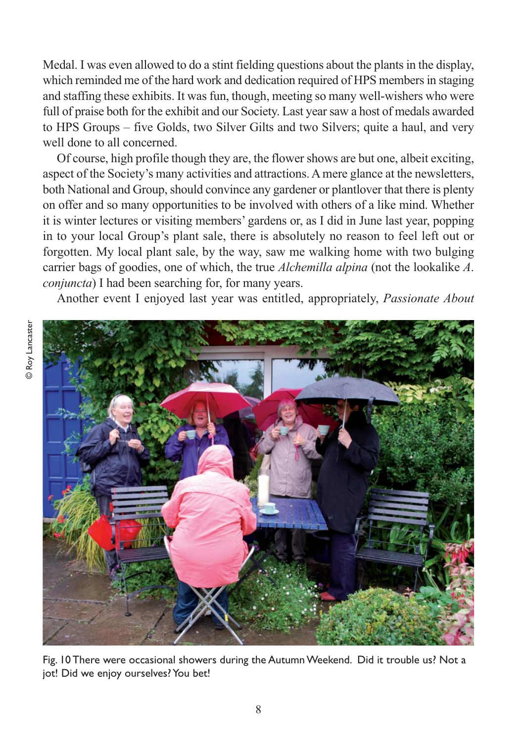Medal. I was even allowed to do a stint fielding questions about the plants in the display, which reminded me of the hard work and dedication required of HPS members in staging and staffing these exhibits. It was fun, though, meeting so many well-wishers who were full of praise both for the exhibit and our Society. Last year saw a host of medals awarded to HPS Groups – five Golds, two Silver Gilts and two Silvers; quite a haul, and very well done to all concerned.

Of course, high profile though they are, the flower shows are but one, albeit exciting, aspect of the Society's many activities and attractions. A mere glance at the newsletters, both National and Group, should convince any gardener or plantlover that there is plenty on offer and so many opportunities to be involved with others of a like mind. Whether it is winter lectures or visiting members' gardens or, as I did in June last year, popping in to your local Group's plant sale, there is absolutely no reason to feel left out or forgotten. My local plant sale, by the way, saw me walking home with two bulging carrier bags of goodies, one of which, the true *Alchemilla alpina* (not the lookalike *A*. *conjuncta*) I had been searching for, for many years.

Another event I enjoyed last year was entitled, appropriately, *Passionate About*



Fig. 10 There were occasional showers during the Autumn Weekend. Did it trouble us? Not a jot! Did we enjoy ourselves? You bet!